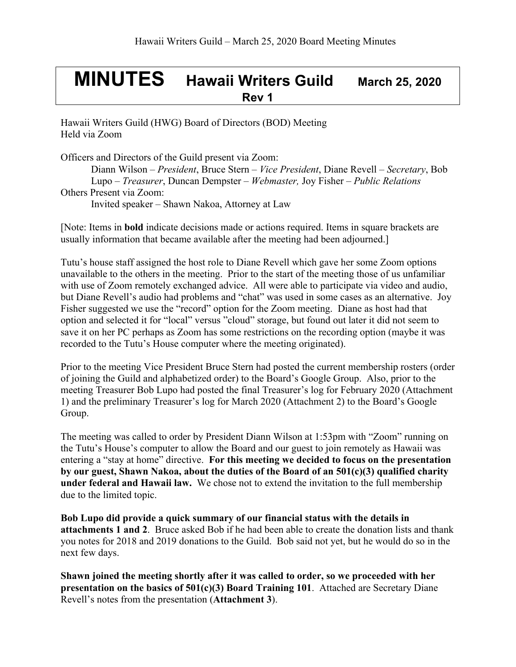# **MINUTES Hawaii Writers Guild March 25, <sup>2020</sup> Rev 1**

Hawaii Writers Guild (HWG) Board of Directors (BOD) Meeting Held via Zoom

Officers and Directors of the Guild present via Zoom: Diann Wilson – *President*, Bruce Stern – *Vice President*, Diane Revell – *Secretary*, Bob Lupo – *Treasurer*, Duncan Dempster – *Webmaster,* Joy Fisher – *Public Relations* Others Present via Zoom:

Invited speaker – Shawn Nakoa, Attorney at Law

[Note: Items in **bold** indicate decisions made or actions required. Items in square brackets are usually information that became available after the meeting had been adjourned.]

Tutu's house staff assigned the host role to Diane Revell which gave her some Zoom options unavailable to the others in the meeting. Prior to the start of the meeting those of us unfamiliar with use of Zoom remotely exchanged advice. All were able to participate via video and audio, but Diane Revell's audio had problems and "chat" was used in some cases as an alternative. Joy Fisher suggested we use the "record" option for the Zoom meeting. Diane as host had that option and selected it for "local" versus "cloud" storage, but found out later it did not seem to save it on her PC perhaps as Zoom has some restrictions on the recording option (maybe it was recorded to the Tutu's House computer where the meeting originated).

Prior to the meeting Vice President Bruce Stern had posted the current membership rosters (order of joining the Guild and alphabetized order) to the Board's Google Group. Also, prior to the meeting Treasurer Bob Lupo had posted the final Treasurer's log for February 2020 (Attachment 1) and the preliminary Treasurer's log for March 2020 (Attachment 2) to the Board's Google Group.

The meeting was called to order by President Diann Wilson at 1:53pm with "Zoom" running on the Tutu's House's computer to allow the Board and our guest to join remotely as Hawaii was entering a "stay at home" directive. **For this meeting we decided to focus on the presentation by our guest, Shawn Nakoa, about the duties of the Board of an 501(c)(3) qualified charity under federal and Hawaii law.** We chose not to extend the invitation to the full membership due to the limited topic.

**Bob Lupo did provide a quick summary of our financial status with the details in attachments 1 and 2**. Bruce asked Bob if he had been able to create the donation lists and thank you notes for 2018 and 2019 donations to the Guild. Bob said not yet, but he would do so in the next few days.

**Shawn joined the meeting shortly after it was called to order, so we proceeded with her presentation on the basics of 501(c)(3) Board Training 101**. Attached are Secretary Diane Revell's notes from the presentation (**Attachment 3**).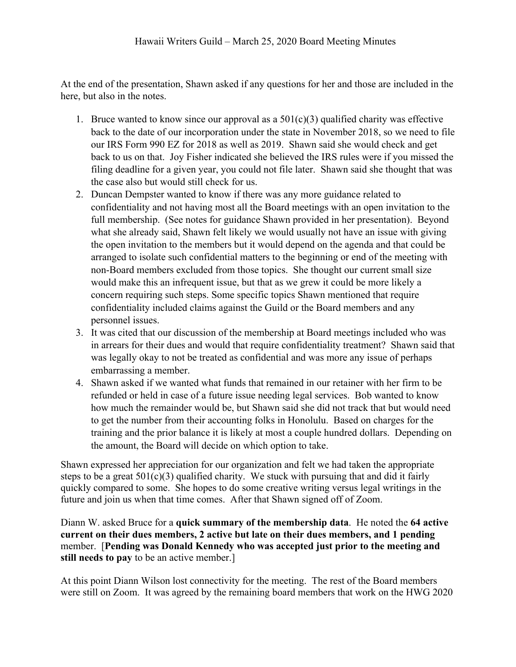At the end of the presentation, Shawn asked if any questions for her and those are included in the here, but also in the notes.

- 1. Bruce wanted to know since our approval as a  $501(c)(3)$  qualified charity was effective back to the date of our incorporation under the state in November 2018, so we need to file our IRS Form 990 EZ for 2018 as well as 2019. Shawn said she would check and get back to us on that. Joy Fisher indicated she believed the IRS rules were if you missed the filing deadline for a given year, you could not file later. Shawn said she thought that was the case also but would still check for us.
- 2. Duncan Dempster wanted to know if there was any more guidance related to confidentiality and not having most all the Board meetings with an open invitation to the full membership. (See notes for guidance Shawn provided in her presentation). Beyond what she already said, Shawn felt likely we would usually not have an issue with giving the open invitation to the members but it would depend on the agenda and that could be arranged to isolate such confidential matters to the beginning or end of the meeting with non-Board members excluded from those topics. She thought our current small size would make this an infrequent issue, but that as we grew it could be more likely a concern requiring such steps. Some specific topics Shawn mentioned that require confidentiality included claims against the Guild or the Board members and any personnel issues.
- 3. It was cited that our discussion of the membership at Board meetings included who was in arrears for their dues and would that require confidentiality treatment? Shawn said that was legally okay to not be treated as confidential and was more any issue of perhaps embarrassing a member.
- 4. Shawn asked if we wanted what funds that remained in our retainer with her firm to be refunded or held in case of a future issue needing legal services. Bob wanted to know how much the remainder would be, but Shawn said she did not track that but would need to get the number from their accounting folks in Honolulu. Based on charges for the training and the prior balance it is likely at most a couple hundred dollars. Depending on the amount, the Board will decide on which option to take.

Shawn expressed her appreciation for our organization and felt we had taken the appropriate steps to be a great  $501(c)(3)$  qualified charity. We stuck with pursuing that and did it fairly quickly compared to some. She hopes to do some creative writing versus legal writings in the future and join us when that time comes. After that Shawn signed off of Zoom.

Diann W. asked Bruce for a **quick summary of the membership data**. He noted the **64 active current on their dues members, 2 active but late on their dues members, and 1 pending** member. [**Pending was Donald Kennedy who was accepted just prior to the meeting and still needs to pay** to be an active member.]

At this point Diann Wilson lost connectivity for the meeting. The rest of the Board members were still on Zoom. It was agreed by the remaining board members that work on the HWG 2020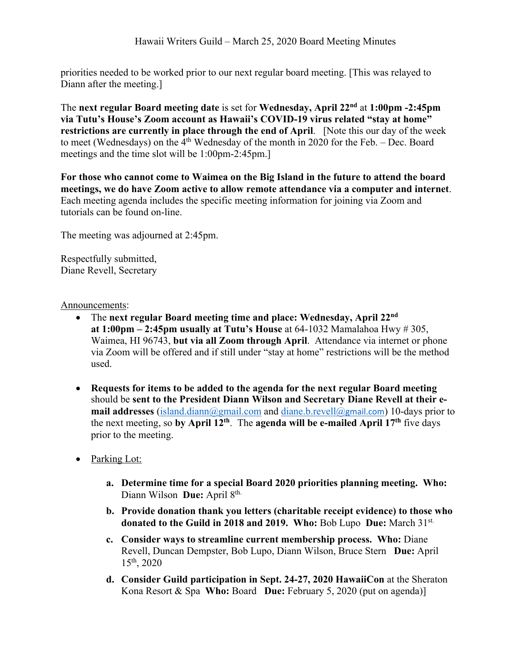priorities needed to be worked prior to our next regular board meeting. [This was relayed to Diann after the meeting.]

The **next regular Board meeting date** is set for **Wednesday, April 22nd** at **1:00pm -2:45pm via Tutu's House's Zoom account as Hawaii's COVID-19 virus related "stay at home" restrictions are currently in place through the end of April**. [Note this our day of the week to meet (Wednesdays) on the 4th Wednesday of the month in 2020 for the Feb. – Dec. Board meetings and the time slot will be 1:00pm-2:45pm.]

**For those who cannot come to Waimea on the Big Island in the future to attend the board meetings, we do have Zoom active to allow remote attendance via a computer and internet**. Each meeting agenda includes the specific meeting information for joining via Zoom and tutorials can be found on-line.

The meeting was adjourned at 2:45pm.

Respectfully submitted, Diane Revell, Secretary

#### Announcements:

- The **next regular Board meeting time and place: Wednesday, April 22nd at 1:00pm – 2:45pm usually at Tutu's House** at 64-1032 Mamalahoa Hwy # 305, Waimea, HI 96743, **but via all Zoom through April**. Attendance via internet or phone via Zoom will be offered and if still under "stay at home" restrictions will be the method used.
- **Requests for items to be added to the agenda for the next regular Board meeting** should be **sent to the President Diann Wilson and Secretary Diane Revell at their email addresses** (island.diann@gmail.com and diane.b.revell@gmail.com) 10-days prior to the next meeting, so **by April 12th**. The **agenda will be e-mailed April 17th** five days prior to the meeting.
- Parking Lot:
	- **a. Determine time for a special Board 2020 priorities planning meeting. Who:**  Diann Wilson **Due:** April 8<sup>th.</sup>
	- **b. Provide donation thank you letters (charitable receipt evidence) to those who donated to the Guild in 2018 and 2019. Who:** Bob Lupo **Due:** March 31st.
	- **c. Consider ways to streamline current membership process. Who:** Diane Revell, Duncan Dempster, Bob Lupo, Diann Wilson, Bruce Stern **Due:** April 15th, 2020
	- **d. Consider Guild participation in Sept. 24-27, 2020 HawaiiCon** at the Sheraton Kona Resort & Spa **Who:** Board **Due:** February 5, 2020 (put on agenda)]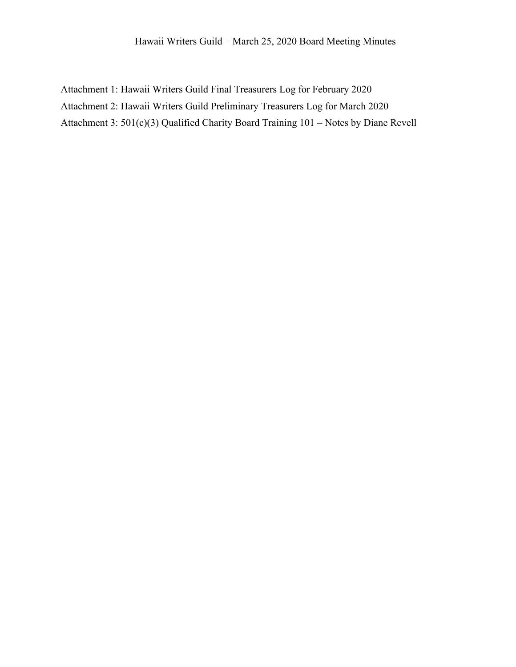Attachment 1: Hawaii Writers Guild Final Treasurers Log for February 2020 Attachment 2: Hawaii Writers Guild Preliminary Treasurers Log for March 2020 Attachment 3: 501(c)(3) Qualified Charity Board Training 101 – Notes by Diane Revell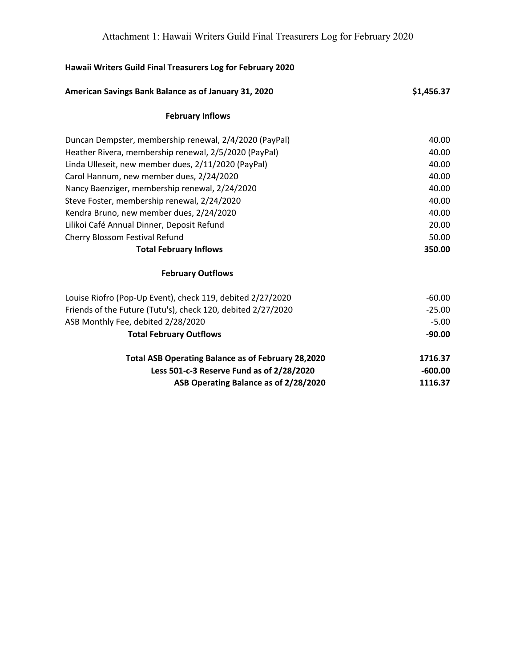| Hawaii Writers Guild Final Treasurers Log for February 2020  |            |
|--------------------------------------------------------------|------------|
| American Savings Bank Balance as of January 31, 2020         | \$1,456.37 |
| <b>February Inflows</b>                                      |            |
| Duncan Dempster, membership renewal, 2/4/2020 (PayPal)       | 40.00      |
| Heather Rivera, membership renewal, 2/5/2020 (PayPal)        | 40.00      |
| Linda Ulleseit, new member dues, 2/11/2020 (PayPal)          | 40.00      |
| Carol Hannum, new member dues, 2/24/2020                     | 40.00      |
| Nancy Baenziger, membership renewal, 2/24/2020               | 40.00      |
| Steve Foster, membership renewal, 2/24/2020                  | 40.00      |
| Kendra Bruno, new member dues, 2/24/2020                     | 40.00      |
| Lilikoi Café Annual Dinner, Deposit Refund                   | 20.00      |
| Cherry Blossom Festival Refund                               | 50.00      |
| <b>Total February Inflows</b>                                | 350.00     |
| <b>February Outflows</b>                                     |            |
| Louise Riofro (Pop-Up Event), check 119, debited 2/27/2020   | $-60.00$   |
| Friends of the Future (Tutu's), check 120, debited 2/27/2020 | $-25.00$   |
| ASB Monthly Fee, debited 2/28/2020                           | $-5.00$    |
| <b>Total February Outflows</b>                               | $-90.00$   |
| <b>Total ASB Operating Balance as of February 28,2020</b>    | 1716.37    |
| Less 501-c-3 Reserve Fund as of 2/28/2020                    | $-600.00$  |
| ASB Operating Balance as of 2/28/2020                        | 1116.37    |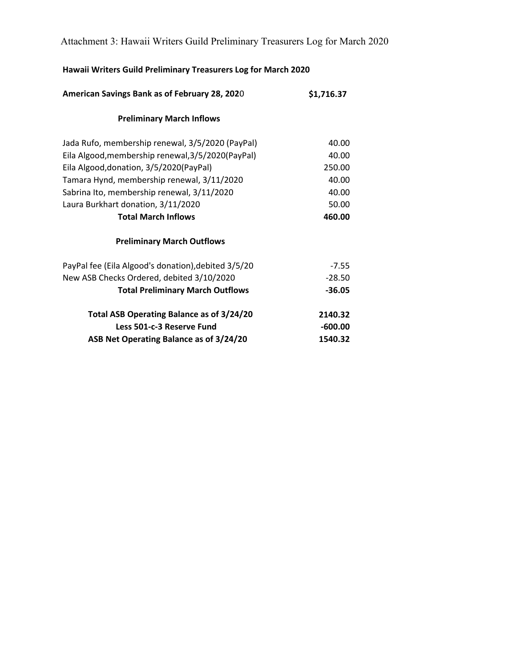Attachment 3: Hawaii Writers Guild Preliminary Treasurers Log for March 2020

# **Hawaii Writers Guild Preliminary Treasurers Log for March 2020**

| American Savings Bank as of February 28, 2020       | \$1,716.37 |
|-----------------------------------------------------|------------|
| <b>Preliminary March Inflows</b>                    |            |
| Jada Rufo, membership renewal, 3/5/2020 (PayPal)    | 40.00      |
| Eila Algood, membership renewal, 3/5/2020 (PayPal)  | 40.00      |
| Eila Algood, donation, 3/5/2020 (PayPal)            | 250.00     |
| Tamara Hynd, membership renewal, 3/11/2020          | 40.00      |
| Sabrina Ito, membership renewal, 3/11/2020          | 40.00      |
| Laura Burkhart donation, 3/11/2020                  | 50.00      |
| <b>Total March Inflows</b>                          | 460.00     |
| <b>Preliminary March Outflows</b>                   |            |
| PayPal fee (Eila Algood's donation), debited 3/5/20 | $-7.55$    |
| New ASB Checks Ordered, debited 3/10/2020           | $-28.50$   |
| <b>Total Preliminary March Outflows</b>             | $-36.05$   |
| Total ASB Operating Balance as of 3/24/20           | 2140.32    |
| Less 501-c-3 Reserve Fund                           | $-600.00$  |
| ASB Net Operating Balance as of 3/24/20             | 1540.32    |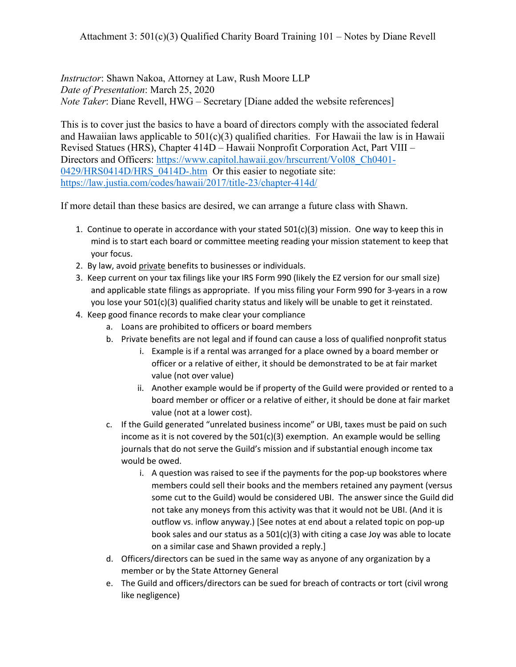*Instructor*: Shawn Nakoa, Attorney at Law, Rush Moore LLP *Date of Presentation*: March 25, 2020 *Note Taker*: Diane Revell, HWG – Secretary [Diane added the website references]

This is to cover just the basics to have a board of directors comply with the associated federal and Hawaiian laws applicable to  $501(c)(3)$  qualified charities. For Hawaii the law is in Hawaii Revised Statues (HRS), Chapter 414D – Hawaii Nonprofit Corporation Act, Part VIII – Directors and Officers: https://www.capitol.hawaii.gov/hrscurrent/Vol08\_Ch0401-0429/HRS0414D/HRS\_0414D-.htm Or this easier to negotiate site: https://law.justia.com/codes/hawaii/2017/title-23/chapter-414d/

If more detail than these basics are desired, we can arrange a future class with Shawn.

- 1. Continue to operate in accordance with your stated  $501(c)(3)$  mission. One way to keep this in mind is to start each board or committee meeting reading your mission statement to keep that your focus.
- 2. By law, avoid private benefits to businesses or individuals.
- 3. Keep current on your tax filings like your IRS Form 990 (likely the EZ version for our small size) and applicable state filings as appropriate. If you miss filing your Form 990 for 3-years in a row you lose your 501(c)(3) qualified charity status and likely will be unable to get it reinstated.
- 4. Keep good finance records to make clear your compliance
	- a. Loans are prohibited to officers or board members
	- b. Private benefits are not legal and if found can cause a loss of qualified nonprofit status
		- i. Example is if a rental was arranged for a place owned by a board member or officer or a relative of either, it should be demonstrated to be at fair market value (not over value)
		- ii. Another example would be if property of the Guild were provided or rented to a board member or officer or a relative of either, it should be done at fair market value (not at a lower cost).
	- c. If the Guild generated "unrelated business income" or UBI, taxes must be paid on such income as it is not covered by the  $501(c)(3)$  exemption. An example would be selling journals that do not serve the Guild's mission and if substantial enough income tax would be owed.
		- i. A question was raised to see if the payments for the pop-up bookstores where members could sell their books and the members retained any payment (versus some cut to the Guild) would be considered UBI. The answer since the Guild did not take any moneys from this activity was that it would not be UBI. (And it is outflow vs. inflow anyway.) [See notes at end about a related topic on pop-up book sales and our status as a  $501(c)(3)$  with citing a case Joy was able to locate on a similar case and Shawn provided a reply.]
	- d. Officers/directors can be sued in the same way as anyone of any organization by a member or by the State Attorney General
	- e. The Guild and officers/directors can be sued for breach of contracts or tort (civil wrong like negligence)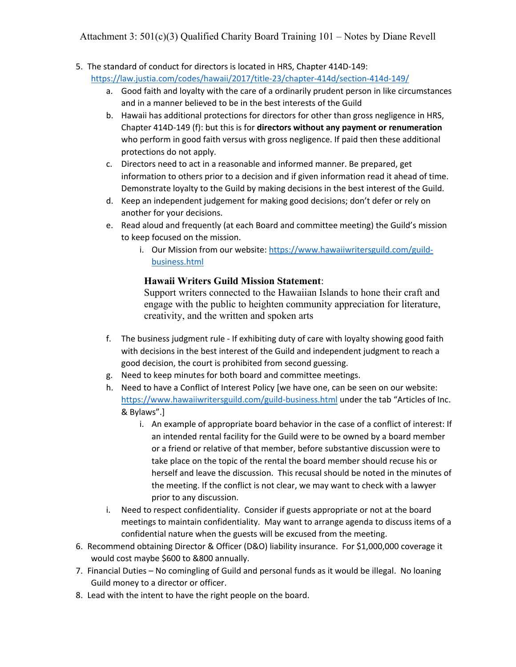Attachment 3: 501(c)(3) Qualified Charity Board Training 101 – Notes by Diane Revell

- 5. The standard of conduct for directors is located in HRS, Chapter 414D-149:
	- https://law.justia.com/codes/hawaii/2017/title-23/chapter-414d/section-414d-149/
		- a. Good faith and loyalty with the care of a ordinarily prudent person in like circumstances and in a manner believed to be in the best interests of the Guild
		- b. Hawaii has additional protections for directors for other than gross negligence in HRS, Chapter 414D-149 (f): but this is for **directors without any payment or renumeration** who perform in good faith versus with gross negligence. If paid then these additional protections do not apply.
		- c. Directors need to act in a reasonable and informed manner. Be prepared, get information to others prior to a decision and if given information read it ahead of time. Demonstrate loyalty to the Guild by making decisions in the best interest of the Guild.
		- d. Keep an independent judgement for making good decisions; don't defer or rely on another for your decisions.
		- e. Read aloud and frequently (at each Board and committee meeting) the Guild's mission to keep focused on the mission.
			- i. Our Mission from our website: https://www.hawaiiwritersguild.com/guildbusiness.html

## **Hawaii Writers Guild Mission Statement**:

Support writers connected to the Hawaiian Islands to hone their craft and engage with the public to heighten community appreciation for literature, creativity, and the written and spoken arts

- f. The business judgment rule If exhibiting duty of care with loyalty showing good faith with decisions in the best interest of the Guild and independent judgment to reach a good decision, the court is prohibited from second guessing.
- g. Need to keep minutes for both board and committee meetings.
- h. Need to have a Conflict of Interest Policy [we have one, can be seen on our website: https://www.hawaiiwritersguild.com/guild-business.html under the tab "Articles of Inc. & Bylaws".]
	- i. An example of appropriate board behavior in the case of a conflict of interest: If an intended rental facility for the Guild were to be owned by a board member or a friend or relative of that member, before substantive discussion were to take place on the topic of the rental the board member should recuse his or herself and leave the discussion. This recusal should be noted in the minutes of the meeting. If the conflict is not clear, we may want to check with a lawyer prior to any discussion.
- i. Need to respect confidentiality. Consider if guests appropriate or not at the board meetings to maintain confidentiality. May want to arrange agenda to discuss items of a confidential nature when the guests will be excused from the meeting.
- 6. Recommend obtaining Director & Officer (D&O) liability insurance. For \$1,000,000 coverage it would cost maybe \$600 to &800 annually.
- 7. Financial Duties No comingling of Guild and personal funds as it would be illegal. No loaning Guild money to a director or officer.
- 8. Lead with the intent to have the right people on the board.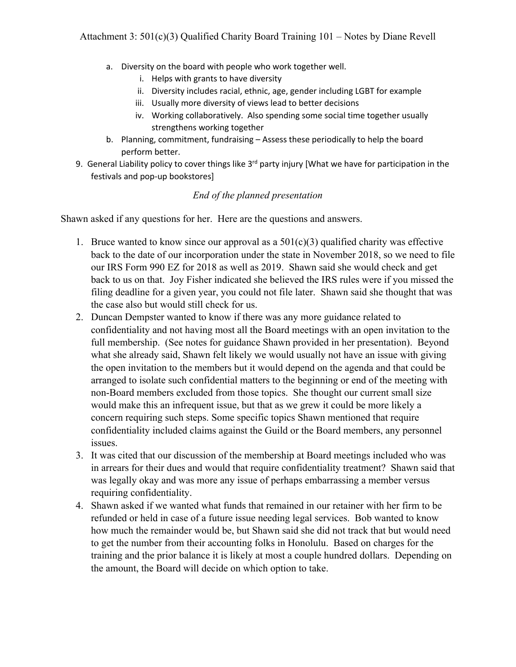- a. Diversity on the board with people who work together well.
	- i. Helps with grants to have diversity
	- ii. Diversity includes racial, ethnic, age, gender including LGBT for example
	- iii. Usually more diversity of views lead to better decisions
	- iv. Working collaboratively. Also spending some social time together usually strengthens working together
- b. Planning, commitment, fundraising Assess these periodically to help the board perform better.
- 9. General Liability policy to cover things like 3<sup>rd</sup> party injury [What we have for participation in the festivals and pop-up bookstores]

#### *End of the planned presentation*

Shawn asked if any questions for her. Here are the questions and answers.

- 1. Bruce wanted to know since our approval as a  $501(c)(3)$  qualified charity was effective back to the date of our incorporation under the state in November 2018, so we need to file our IRS Form 990 EZ for 2018 as well as 2019. Shawn said she would check and get back to us on that. Joy Fisher indicated she believed the IRS rules were if you missed the filing deadline for a given year, you could not file later. Shawn said she thought that was the case also but would still check for us.
- 2. Duncan Dempster wanted to know if there was any more guidance related to confidentiality and not having most all the Board meetings with an open invitation to the full membership. (See notes for guidance Shawn provided in her presentation). Beyond what she already said, Shawn felt likely we would usually not have an issue with giving the open invitation to the members but it would depend on the agenda and that could be arranged to isolate such confidential matters to the beginning or end of the meeting with non-Board members excluded from those topics. She thought our current small size would make this an infrequent issue, but that as we grew it could be more likely a concern requiring such steps. Some specific topics Shawn mentioned that require confidentiality included claims against the Guild or the Board members, any personnel issues.
- 3. It was cited that our discussion of the membership at Board meetings included who was in arrears for their dues and would that require confidentiality treatment? Shawn said that was legally okay and was more any issue of perhaps embarrassing a member versus requiring confidentiality.
- 4. Shawn asked if we wanted what funds that remained in our retainer with her firm to be refunded or held in case of a future issue needing legal services. Bob wanted to know how much the remainder would be, but Shawn said she did not track that but would need to get the number from their accounting folks in Honolulu. Based on charges for the training and the prior balance it is likely at most a couple hundred dollars. Depending on the amount, the Board will decide on which option to take.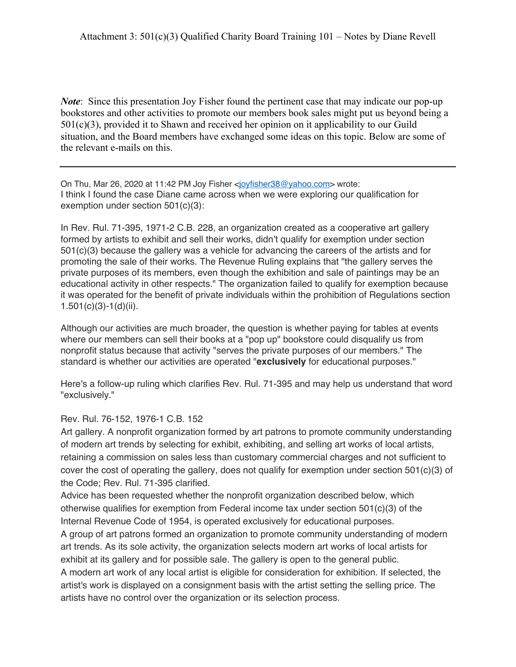*Note*: Since this presentation Joy Fisher found the pertinent case that may indicate our pop-up bookstores and other activities to promote our members book sales might put us beyond being a 501(c)(3), provided it to Shawn and received her opinion on it applicability to our Guild situation, and the Board members have exchanged some ideas on this topic. Below are some of the relevant e-mails on this.

On Thu, Mar 26, 2020 at 11:42 PM Joy Fisher <joyfisher38@yahoo.com> wrote: I think I found the case Diane came across when we were exploring our qualification for exemption under section 501(c)(3):

In Rev. Rul. 71-395, 1971-2 C.B. 228, an organization created as a cooperative art gallery formed by artists to exhibit and sell their works, didn't qualify for exemption under section 501(c)(3) because the gallery was a vehicle for advancing the careers of the artists and for promoting the sale of their works. The Revenue Ruling explains that "the gallery serves the private purposes of its members, even though the exhibition and sale of paintings may be an educational activity in other respects." The organization failed to qualify for exemption because it was operated for the benefit of private individuals within the prohibition of Regulations section  $1.501(c)(3)-1(d)(ii)$ .

Although our activities are much broader, the question is whether paying for tables at events where our members can sell their books at a "pop up" bookstore could disqualify us from nonprofit status because that activity "serves the private purposes of our members." The standard is whether our activities are operated "**exclusively** for educational purposes."

Here's a follow-up ruling which clarifies Rev. Rul. 71-395 and may help us understand that word "exclusively."

Rev. Rul. 76-152, 1976-1 C.B. 152

Art gallery. A nonprofit organization formed by art patrons to promote community understanding of modern art trends by selecting for exhibit, exhibiting, and selling art works of local artists, retaining a commission on sales less than customary commercial charges and not sufficient to cover the cost of operating the gallery, does not qualify for exemption under section 501(c)(3) of the Code; Rev. Rul. 71-395 clarified.

Advice has been requested whether the nonprofit organization described below, which otherwise qualifies for exemption from Federal income tax under section  $501(c)(3)$  of the Internal Revenue Code of 1954, is operated exclusively for educational purposes.

A group of art patrons formed an organization to promote community understanding of modern art trends. As its sole activity, the organization selects modern art works of local artists for exhibit at its gallery and for possible sale. The gallery is open to the general public. A modern art work of any local artist is eligible for consideration for exhibition. If selected, the artist's work is displayed on a consignment basis with the artist setting the selling price. The artists have no control over the organization or its selection process.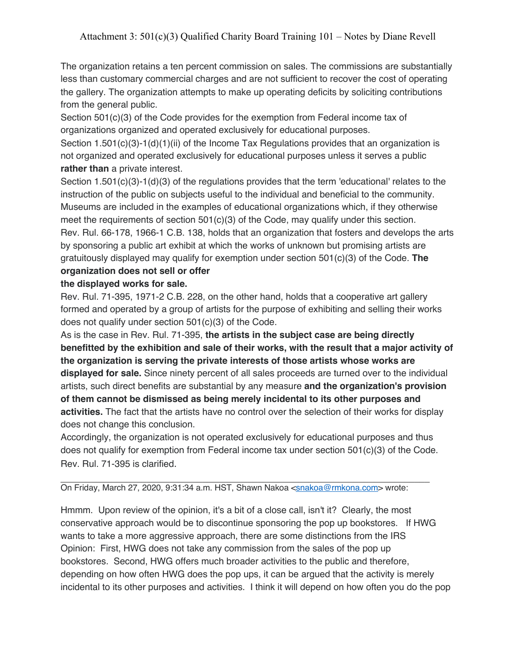The organization retains a ten percent commission on sales. The commissions are substantially less than customary commercial charges and are not sufficient to recover the cost of operating the gallery. The organization attempts to make up operating deficits by soliciting contributions from the general public.

Section 501(c)(3) of the Code provides for the exemption from Federal income tax of organizations organized and operated exclusively for educational purposes.

Section 1.501(c)(3)-1(d)(1)(ii) of the Income Tax Regulations provides that an organization is not organized and operated exclusively for educational purposes unless it serves a public **rather than** a private interest.

Section 1.501(c)(3)-1(d)(3) of the regulations provides that the term 'educational' relates to the instruction of the public on subjects useful to the individual and beneficial to the community. Museums are included in the examples of educational organizations which, if they otherwise meet the requirements of section 501(c)(3) of the Code, may qualify under this section. Rev. Rul. 66-178, 1966-1 C.B. 138, holds that an organization that fosters and develops the arts by sponsoring a public art exhibit at which the works of unknown but promising artists are gratuitously displayed may qualify for exemption under section 501(c)(3) of the Code. **The organization does not sell or offer**

### **the displayed works for sale.**

Rev. Rul. 71-395, 1971-2 C.B. 228, on the other hand, holds that a cooperative art gallery formed and operated by a group of artists for the purpose of exhibiting and selling their works does not qualify under section 501(c)(3) of the Code.

As is the case in Rev. Rul. 71-395, **the artists in the subject case are being directly benefitted by the exhibition and sale of their works, with the result that a major activity of the organization is serving the private interests of those artists whose works are displayed for sale.** Since ninety percent of all sales proceeds are turned over to the individual artists, such direct benefits are substantial by any measure **and the organization's provision of them cannot be dismissed as being merely incidental to its other purposes and activities.** The fact that the artists have no control over the selection of their works for display does not change this conclusion.

Accordingly, the organization is not operated exclusively for educational purposes and thus does not qualify for exemption from Federal income tax under section 501(c)(3) of the Code. Rev. Rul. 71-395 is clarified.

On Friday, March 27, 2020, 9:31:34 a.m. HST, Shawn Nakoa <snakoa@rmkona.com> wrote:

Hmmm. Upon review of the opinion, it's a bit of a close call, isn't it? Clearly, the most conservative approach would be to discontinue sponsoring the pop up bookstores. If HWG wants to take a more aggressive approach, there are some distinctions from the IRS Opinion: First, HWG does not take any commission from the sales of the pop up bookstores. Second, HWG offers much broader activities to the public and therefore, depending on how often HWG does the pop ups, it can be argued that the activity is merely incidental to its other purposes and activities. I think it will depend on how often you do the pop